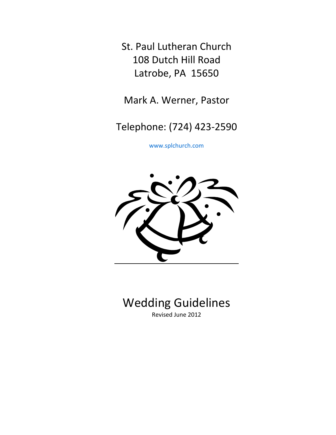St. Paul Lutheran Church 108 Dutch Hill Road Latrobe, PA 15650

Mark A. Werner, Pastor

Telephone: (724) 423-2590

[www.splchurch.com](http://www.splchurch.com/)



# Wedding Guidelines Revised June 2012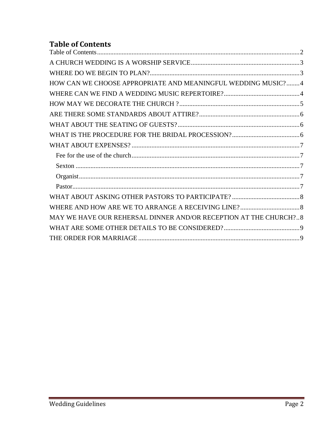# <span id="page-1-0"></span>**Table of Contents**

| HOW CAN WE CHOOSE APPROPRIATE AND MEANINGFUL WEDDING MUSIC?4     |  |
|------------------------------------------------------------------|--|
|                                                                  |  |
|                                                                  |  |
|                                                                  |  |
|                                                                  |  |
|                                                                  |  |
|                                                                  |  |
|                                                                  |  |
|                                                                  |  |
|                                                                  |  |
|                                                                  |  |
|                                                                  |  |
|                                                                  |  |
| MAY WE HAVE OUR REHERSAL DINNER AND/OR RECEPTION AT THE CHURCH?8 |  |
|                                                                  |  |
|                                                                  |  |
|                                                                  |  |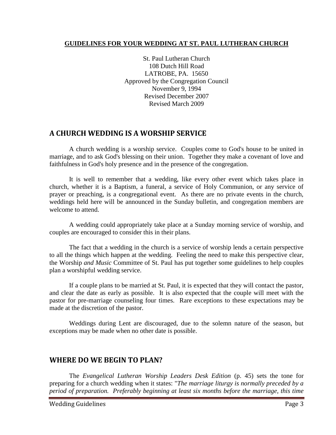#### **GUIDELINES FOR YOUR WEDDING AT ST. PAUL LUTHERAN CHURCH**

St. Paul Lutheran Church 108 Dutch Hill Road LATROBE, PA. 15650 Approved by the Congregation Council November 9, 1994 Revised December 2007 Revised March 2009

## <span id="page-2-0"></span>**A CHURCH WEDDING IS A WORSHIP SERVICE**

A church wedding is a worship service. Couples come to God's house to be united in marriage, and to ask God's blessing on their union. Together they make a covenant of love and faithfulness in God's holy presence and in the presence of the congregation.

It is well to remember that a wedding, like every other event which takes place in church, whether it is a Baptism, a funeral, a service of Holy Communion, or any service of prayer or preaching, is a congregational event. As there are no private events in the church, weddings held here will be announced in the Sunday bulletin, and congregation members are welcome to attend.

A wedding could appropriately take place at a Sunday morning service of worship, and couples are encouraged to consider this in their plans.

The fact that a wedding in the church is a service of worship lends a certain perspective to all the things which happen at the wedding. Feeling the need to make this perspective clear, the Worship *and Music* Committee of St. Paul has put together some guidelines to help couples plan a worshipful wedding service.

If a couple plans to be married at St. Paul, it is expected that they will contact the pastor, and clear the date as early as possible. It is also expected that the couple will meet with the pastor for pre-marriage counseling four times. Rare exceptions to these expectations may be made at the discretion of the pastor.

Weddings during Lent are discouraged, due to the solemn nature of the season, but exceptions may be made when no other date is possible.

### <span id="page-2-1"></span>**WHERE DO WE BEGIN TO PLAN?**

The *Evangelical Lutheran Worship Leaders Desk Edition* (p. 45) sets the tone for preparing for a church wedding when it states: "*The marriage liturgy is normally preceded by a period of preparation. Preferably beginning at least six months before the marriage, this time*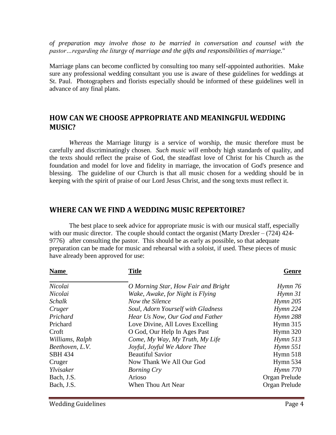*of preparation may involve those to be married in conversation and counsel with the pastor…regarding the liturgy of marriage and the gifts and responsibilities of marriage.*"

Marriage plans can become conflicted by consulting too many self-appointed authorities. Make sure any professional wedding consultant you use is aware of these guidelines for weddings at St. Paul. Photographers and florists especially should be informed of these guidelines well in advance of any final plans.

### <span id="page-3-0"></span>**HOW CAN WE CHOOSE APPROPRIATE AND MEANINGFUL WEDDING MUSIC?**

*Whereas* the Marriage liturgy is a service of worship, the music therefore must be carefully and discriminatingly chosen. *Such music will* embody high standards of quality, and the texts should reflect the praise of God, the steadfast love of Christ for his Church as the foundation and model for love and fidelity in marriage, the invocation of God's presence and blessing. The guideline of our Church is that all music chosen for a wedding should be in keeping with the spirit of praise of our Lord Jesus Christ, and the song texts must reflect it.

### <span id="page-3-1"></span>**WHERE CAN WE FIND A WEDDING MUSIC REPERTOIRE?**

The best place to seek advice for appropriate music is with our musical staff, especially with our music director. The couple should contact the organist (Marty Drexler  $- (724)$  424-9776) after consulting the pastor. This should be as early as possible, so that adequate preparation can be made for music and rehearsal with a soloist, if used. These pieces of music have already been approved for use:

| <b>Name</b>     | Genre                               |                          |
|-----------------|-------------------------------------|--------------------------|
| Nicolai         | O Morning Star, How Fair and Bright | $H$ <sub>ymn</sub> 76    |
| Nicolai         | Wake, Awake, for Night is Flying    | $H$ <sub>ymn</sub> 31    |
| Schalk          | Now the Silence                     | $H$ <sub>ymn</sub> 205   |
| Cruger          | Soul, Adorn Yourself with Gladness  | $H$ ymn 224              |
| Prichard        | Hear Us Now, Our God and Father     | <b>Hymn 288</b>          |
| Prichard        | Love Divine, All Loves Excelling    | Hymn 315                 |
| Croft           | O God, Our Help In Ages Past        | Hymn $320$               |
| Williams, Ralph | Come, My Way, My Truth, My Life     | Hymn 513                 |
| Beethoven, L.V. | Joyful, Joyful We Adore Thee        | $H$ <sub>ymn</sub> $551$ |
| <b>SBH 434</b>  | <b>Beautiful Savior</b>             | Hymn $518$               |
| Cruger          | Now Thank We All Our God            | Hymn 534                 |
| Ylvisaker       | <b>Borning Cry</b>                  | $H$ ymn 770              |
| Bach, J.S.      | Arioso                              | Organ Prelude            |
| Bach, J.S.      | When Thou Art Near                  | Organ Prelude            |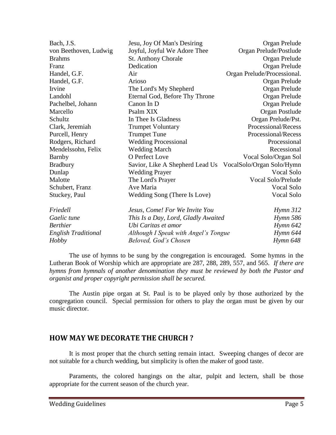| Jesu, Joy Of Man's Desiring                               | Organ Prelude               |
|-----------------------------------------------------------|-----------------------------|
| Joyful, Joyful We Adore Thee                              | Organ Prelude/Postlude      |
| <b>St. Anthony Chorale</b>                                | Organ Prelude               |
| Dedication                                                | Organ Prelude               |
| Air                                                       | Organ Prelude/Processional. |
| Arioso                                                    | Organ Prelude               |
| The Lord's My Shepherd                                    | Organ Prelude               |
| Eternal God, Before Thy Throne                            | Organ Prelude               |
| Canon In D                                                | Organ Prelude               |
| Psalm XIX                                                 | Organ Postlude              |
| In Thee Is Gladness                                       | Organ Prelude/Pst.          |
| <b>Trumpet Voluntary</b>                                  | Processional/Recess         |
| <b>Trumpet Tune</b>                                       | Processional/Recess         |
| <b>Wedding Processional</b>                               | Processional                |
| <b>Wedding March</b>                                      | Recessional                 |
| O Perfect Love                                            | Vocal Solo/Organ Sol        |
| Savior, Like A Shepherd Lead Us VocalSolo/Organ Solo/Hymn |                             |
| <b>Wedding Prayer</b>                                     | Vocal Solo                  |
| The Lord's Prayer                                         | Vocal Solo/Prelude          |
| Ave Maria                                                 | Vocal Solo                  |
| Wedding Song (There Is Love)                              | Vocal Solo                  |
| Jesus, Come! For We Invite You                            | Hymn 312                    |
| This Is a Day, Lord, Gladly Awaited                       | <i>Hymn</i> 586             |
| Ubi Caritas et amor                                       | $H$ <i>ymn</i> $642$        |
| Although I Speak with Angel's Tongue                      | Hymn 644                    |
| Beloved, God's Chosen                                     | Hymn 648                    |
|                                                           |                             |

The use of hymns to be sung by the congregation is encouraged. Some hymns in the Lutheran Book of Worship which are appropriate are 287, 288, 289, 557, and 565. *If there are hymns from hymnals of another denomination they must be reviewed by both the Pastor and organist and proper copyright permission shall be secured.* 

The Austin pipe organ at St. Paul is to be played only by those authorized by the congregation council. Special permission for others to play the organ must be given by our music director.

### <span id="page-4-0"></span>**HOW MAY WE DECORATE THE CHURCH ?**

It is most proper that the church setting remain intact. Sweeping changes of decor are not suitable for a church wedding, but simplicity is often the maker of good taste.

Paraments, the colored hangings on the altar, pulpit and lectern, shall be those appropriate for the current season of the church year.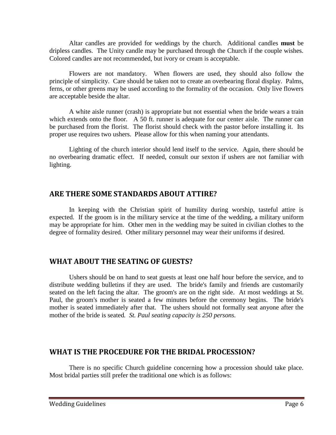Altar candles are provided for weddings by the church. Additional candles **must** be dripless candles. The Unity candle may be purchased through the Church if the couple wishes. Colored candles are not recommended, but ivory or cream is acceptable.

Flowers are not mandatory. When flowers are used, they should also follow the principle of simplicity. Care should be taken not to create an overbearing floral display. Palms, ferns, or other greens may be used according to the formality of the occasion. Only live flowers are acceptable beside the altar.

A white aisle runner (crash) is appropriate but not essential when the bride wears a train which extends onto the floor. A 50 ft. runner is adequate for our center aisle. The runner can be purchased from the florist. The florist should check with the pastor before installing it. Its proper use requires two ushers. Please allow for this when naming your attendants.

Lighting of the church interior should lend itself to the service. Again, there should be no overbearing dramatic effect. If needed, consult our sexton if ushers are not familiar with lighting.

### <span id="page-5-0"></span>**ARE THERE SOME STANDARDS ABOUT ATTIRE?**

In keeping with the Christian spirit of humility during worship, tasteful attire is expected. If the groom is in the military service at the time of the wedding, a military uniform may be appropriate for him. Other men in the wedding may be suited in civilian clothes to the degree of formality desired. Other military personnel may wear their uniforms if desired.

### <span id="page-5-1"></span>**WHAT ABOUT THE SEATING OF GUESTS?**

Ushers should be on hand to seat guests at least one half hour before the service, and to distribute wedding bulletins if they are used. The bride's family and friends are customarily seated on the left facing the altar. The groom's are on the right side. At most weddings at St. Paul, the groom's mother is seated a few minutes before the ceremony begins. The bride's mother is seated immediately after that. The ushers should not formally seat anyone after the mother of the bride is seated*. St. Paul seating capacity is 250 persons.*

### <span id="page-5-2"></span>**WHAT IS THE PROCEDURE FOR THE BRIDAL PROCESSION?**

There is no specific Church guideline concerning how a procession should take place. Most bridal parties still prefer the traditional one which is as follows: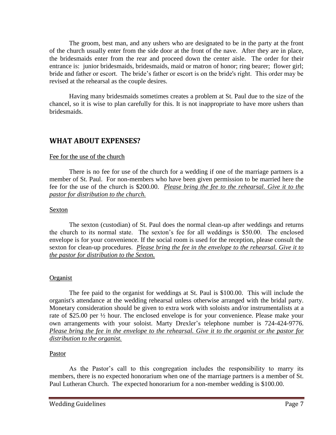The groom, best man, and any ushers who are designated to be in the party at the front of the church usually enter from the side door at the front of the nave. After they are in place, the bridesmaids enter from the rear and proceed down the center aisle. The order for their entrance is: junior bridesmaids, bridesmaids, maid or matron of honor; ring bearer; flower girl; bride and father or escort. The bride's father or escort is on the bride's right. This order may be revised at the rehearsal as the couple desires.

Having many bridesmaids sometimes creates a problem at St. Paul due to the size of the chancel, so it is wise to plan carefully for this. It is not inappropriate to have more ushers than bridesmaids.

### <span id="page-6-0"></span>**WHAT ABOUT EXPENSES?**

#### <span id="page-6-1"></span>Fee for the use of the church

There is no fee for use of the church for a wedding if one of the marriage partners is a member of St. Paul. For non-members who have been given permission to be married here the fee for the use of the church is \$200.00. *Please bring the fee to the rehearsal. Give it to the pastor for distribution to the church.* 

#### <span id="page-6-2"></span>Sexton

The sexton (custodian) of St. Paul does the normal clean-up after weddings and returns the church to its normal state. The sexton's fee for all weddings is \$50.00. The enclosed envelope is for your convenience. If the social room is used for the reception, please consult the sexton for clean-up procedures. *Please bring the fee in the envelope to the rehearsal. Give it to the pastor for distribution to the Sexton.*

#### <span id="page-6-3"></span>**Organist**

The fee paid to the organist for weddings at St. Paul is \$100.00. This will include the organist's attendance at the wedding rehearsal unless otherwise arranged with the bridal party. Monetary consideration should be given to extra work with soloists and/or instrumentalists at a rate of \$25.00 per ½ hour. The enclosed envelope is for your convenience. Please make your own arrangements with your soloist. Marty Drexler's telephone number is 724-424-9776. *Please bring the fee in the envelope to the rehearsal. Give it to the organist or the pastor for distribution to the organist.*

#### <span id="page-6-4"></span>Pastor

As the Pastor's call to this congregation includes the responsibility to marry its members, there is no expected honorarium when one of the marriage partners is a member of St. Paul Lutheran Church. The expected honorarium for a non-member wedding is \$100.00.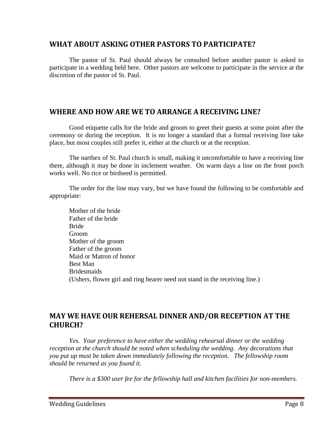### <span id="page-7-0"></span>**WHAT ABOUT ASKING OTHER PASTORS TO PARTICIPATE?**

The pastor of St. Paul should always be consulted before another pastor is asked to participate in a wedding held here. Other pastors are welcome to participate in the service at the discretion of the pastor of St. Paul.

### <span id="page-7-1"></span>**WHERE AND HOW ARE WE TO ARRANGE A RECEIVING LINE?**

Good etiquette calls for the bride and groom to greet their guests at some point after the ceremony or during the reception. It is no longer a standard that a formal receiving line take place, but most couples still prefer it, either at the church or at the reception.

The narthex of St. Paul church is small, making it uncomfortable to have a receiving line there, although it may be done in inclement weather. On warm days a line on the front porch works well. No rice or birdseed is permitted.

The order for the line may vary, but we have found the following to be comfortable and appropriate:

Mother of the bride Father of the bride Bride Groom Mother of the groom Father of the groom Maid or Matron of honor Best Man Bridesmaids (Ushers, flower girl and ring bearer need not stand in the receiving line.)

# <span id="page-7-2"></span>**MAY WE HAVE OUR REHERSAL DINNER AND/OR RECEPTION AT THE CHURCH?**

*Yes. Your preference to have either the wedding rehearsal dinner or the wedding reception at the church should be noted when scheduling the wedding. Any decorations that you put up must be taken down immediately following the reception. The fellowship room should be returned as you found it.* 

*There is a \$300 user fee for the fellowship hall and kitchen facilities for non-members.*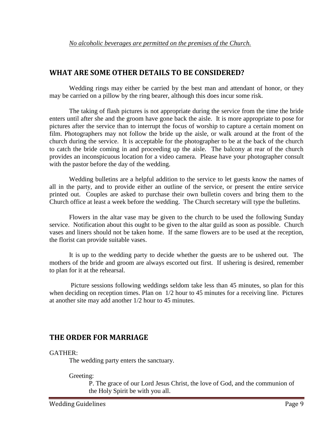### <span id="page-8-0"></span>**WHAT ARE SOME OTHER DETAILS TO BE CONSIDERED?**

Wedding rings may either be carried by the best man and attendant of honor, or they may be carried on a pillow by the ring bearer, although this does incur some risk.

The taking of flash pictures is not appropriate during the service from the time the bride enters until after she and the groom have gone back the aisle. It is more appropriate to pose for pictures after the service than to interrupt the focus of worship to capture a certain moment on film. Photographers may not follow the bride up the aisle, or walk around at the front of the church during the service. It is acceptable for the photographer to be at the back of the church to catch the bride coming in and proceeding up the aisle. The balcony at rear of the church provides an inconspicuous location for a video camera. Please have your photographer consult with the pastor before the day of the wedding.

Wedding bulletins are a helpful addition to the service to let guests know the names of all in the party, and to provide either an outline of the service, or present the entire service printed out. Couples are asked to purchase their own bulletin covers and bring them to the Church office at least a week before the wedding. The Church secretary will type the bulletins.

Flowers in the altar vase may be given to the church to be used the following Sunday service. Notification about this ought to be given to the altar guild as soon as possible. Church vases and liners should not be taken home. If the same flowers are to be used at the reception, the florist can provide suitable vases.

It is up to the wedding party to decide whether the guests are to be ushered out. The mothers of the bride and groom are always escorted out first. If ushering is desired, remember to plan for it at the rehearsal.

Picture sessions following weddings seldom take less than 45 minutes, so plan for this when deciding on reception times. Plan on  $1/2$  hour to 45 minutes for a receiving line. Pictures at another site may add another 1/2 hour to 45 minutes.

# <span id="page-8-1"></span>**THE ORDER FOR MARRIAGE**

#### GATHER:

The wedding party enters the sanctuary.

Greeting:

P. The grace of our Lord Jesus Christ, the love of God, and the communion of the Holy Spirit be with you all.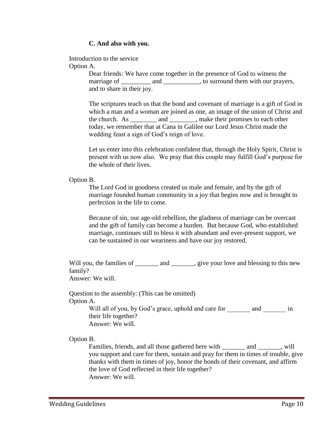#### **C. And also with you.**

Introduction to the service Option A.

> Dear friends: We have come together in the presence of God to witness the marriage of and  $\qquad$ , to surround them with our prayers, and to share in their joy.

The scriptures teach us that the bond and covenant of marriage is a gift of God in which a man and a woman are joined as one, an image of the union of Christ and the church. As \_\_\_\_\_\_\_\_ and \_\_\_\_\_\_\_\_, make their promises to each other today, we remember that at Cana in Galilee our Lord Jesus Christ made the wedding feast a sign of God's reign of love.

Let us enter into this celebration confident that, through the Holy Spirit, Christ is present with us now also. We pray that this couple may fulfill God's purpose for the whole of their lives.

#### Option B.

The Lord God in goodness created us male and female, and by the gift of marriage founded human community in a joy that begins now and is brought to perfection in the life to come.

Because of sin, our age-old rebellion, the gladness of marriage can be overcast and the gift of family can become a burden. But because God, who established marriage, continues still to bless it with abundant and ever-present support, we can be sustained in our weariness and have our joy restored.

Will you, the families of and example your love and blessing to this new family?

Answer: We will.

Question to the assembly: (This can be omitted) Option A.

> Will all of you, by God's grace, uphold and care for and  $\qquad$  in their life together? Answer: We will.

Option B.

Families, friends, and all those gathered here with \_\_\_\_\_\_\_\_\_ and \_\_\_\_\_\_\_, will you support and care for them, sustain and pray for them in times of trouble, give thanks with them in times of joy, honor the bonds of their covenant, and affirm the love of God reflected in their life together? Answer: We will.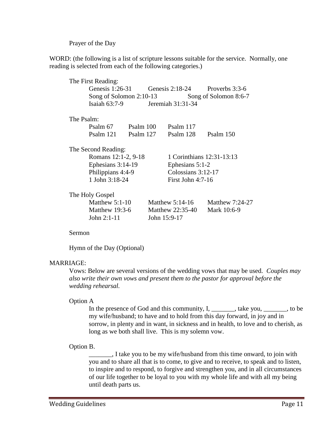Prayer of the Day

WORD: (the following is a list of scripture lessons suitable for the service. Normally, one reading is selected from each of the following categories.)

|                     | The First Reading:                                 |           |                           |                      |                 |  |  |
|---------------------|----------------------------------------------------|-----------|---------------------------|----------------------|-----------------|--|--|
|                     | Genesis $1:26-31$                                  |           | Genesis $2:18-24$         |                      | Proverbs 3:3-6  |  |  |
|                     | Song of Solomon $2:10-13$<br>Song of Solomon 8:6-7 |           |                           |                      |                 |  |  |
|                     | Isaiah $63:7-9$                                    |           |                           | Jeremiah 31:31-34    |                 |  |  |
| The Psalm:          |                                                    |           |                           |                      |                 |  |  |
|                     | Psalm 67                                           | Psalm 100 |                           | Psalm 117            |                 |  |  |
|                     | P <sub>s</sub> alm 121                             | Psalm 127 |                           | Psalm 128            | Psalm 150       |  |  |
| The Second Reading: |                                                    |           |                           |                      |                 |  |  |
|                     | Romans 12:1-2, 9-18                                |           | 1 Corinthians 12:31-13:13 |                      |                 |  |  |
|                     | Ephesians 3:14-19                                  |           | Ephesians $5:1-2$         |                      |                 |  |  |
|                     | Philippians 4:4-9                                  |           |                           | Colossians $3:12-17$ |                 |  |  |
|                     | 1 John 3:18-24                                     |           | First John $4:7-16$       |                      |                 |  |  |
| The Holy Gospel     |                                                    |           |                           |                      |                 |  |  |
|                     | Matthew $5:1-10$                                   |           |                           | Matthew $5:14-16$    | Matthew 7:24-27 |  |  |
|                     | Matthew $19:3-6$                                   |           | Matthew 22:35-40          |                      | Mark 10:6-9     |  |  |
|                     | John $2:1-11$<br>John 15:9-17                      |           |                           |                      |                 |  |  |

Sermon

Hymn of the Day (Optional)

#### MARRIAGE:

Vows: Below are several versions of the wedding vows that may be used. *Couples may also write their own vows and present them to the pastor for approval before the wedding rehearsal.*

#### Option A

In the presence of God and this community, I, \_\_\_\_\_\_\_, take you, \_\_\_\_\_\_\_, to be my wife/husband; to have and to hold from this day forward, in joy and in sorrow, in plenty and in want, in sickness and in health, to love and to cherish, as long as we both shall live. This is my solemn vow.

#### Option B.

\_\_\_\_\_\_\_, I take you to be my wife/husband from this time onward, to join with you and to share all that is to come, to give and to receive, to speak and to listen, to inspire and to respond, to forgive and strengthen you, and in all circumstances of our life together to be loyal to you with my whole life and with all my being until death parts us.